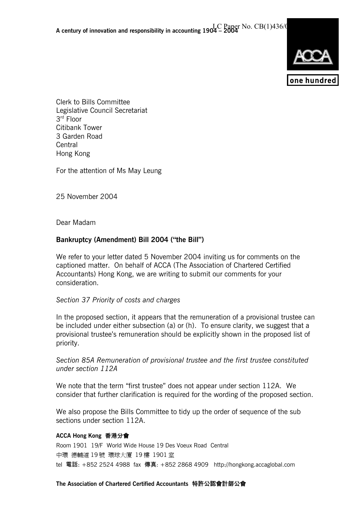

Clerk to Bills Committee Legislative Council Secretariat 3rd Floor Citibank Tower 3 Garden Road Central Hong Kong

For the attention of Ms May Leung

25 November 2004

Dear Madam

# **Bankruptcy (Amendment) Bill 2004 ("the Bill")**

We refer to your letter dated 5 November 2004 inviting us for comments on the captioned matter. On behalf of ACCA (The Association of Chartered Certified Accountants) Hong Kong, we are writing to submit our comments for your consideration.

## *Section 37 Priority of costs and charges*

In the proposed section, it appears that the remuneration of a provisional trustee can be included under either subsection (a) or (h). To ensure clarity, we suggest that a provisional trustee's remuneration should be explicitly shown in the proposed list of priority.

*Section 85A Remuneration of provisional trustee and the first trustee constituted under section 112A* 

We note that the term "first trustee" does not appear under section 112A. We consider that further clarification is required for the wording of the proposed section.

We also propose the Bills Committee to tidy up the order of sequence of the sub sections under section 112A.

### **ACCA Hong Kong** 香港分會

Room 1901 19/F World Wide House 19 Des Voeux Road Central 中環 德輔道 19 號 環球大廈 19 樓 1901 室 tel 電話: +852 2524 4988 fax 傳真: +852 2868 4909 http://hongkong.accaglobal.com

**The Association of Chartered Certified Accountants** 特許公認會計師公會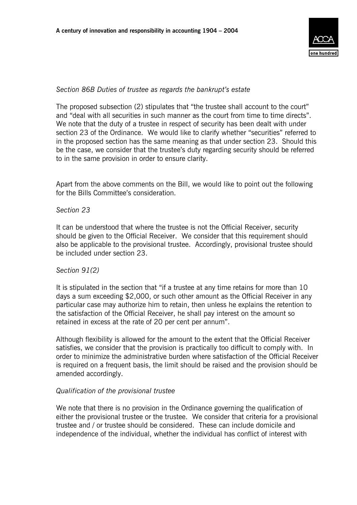

### *Section 86B Duties of trustee as regards the bankrupt's estate*

The proposed subsection (2) stipulates that "the trustee shall account to the court" and "deal with all securities in such manner as the court from time to time directs". We note that the duty of a trustee in respect of security has been dealt with under section 23 of the Ordinance. We would like to clarify whether "securities" referred to in the proposed section has the same meaning as that under section 23. Should this be the case, we consider that the trustee's duty regarding security should be referred to in the same provision in order to ensure clarity.

Apart from the above comments on the Bill, we would like to point out the following for the Bills Committee's consideration.

### *Section 23*

It can be understood that where the trustee is not the Official Receiver, security should be given to the Official Receiver. We consider that this requirement should also be applicable to the provisional trustee. Accordingly, provisional trustee should be included under section 23.

### *Section 91(2)*

It is stipulated in the section that "if a trustee at any time retains for more than 10 days a sum exceeding \$2,000, or such other amount as the Official Receiver in any particular case may authorize him to retain, then unless he explains the retention to the satisfaction of the Official Receiver, he shall pay interest on the amount so retained in excess at the rate of 20 per cent per annum".

Although flexibility is allowed for the amount to the extent that the Official Receiver satisfies, we consider that the provision is practically too difficult to comply with. In order to minimize the administrative burden where satisfaction of the Official Receiver is required on a frequent basis, the limit should be raised and the provision should be amended accordingly.

### *Qualification of the provisional trustee*

We note that there is no provision in the Ordinance governing the qualification of either the provisional trustee or the trustee. We consider that criteria for a provisional trustee and / or trustee should be considered. These can include domicile and independence of the individual, whether the individual has conflict of interest with